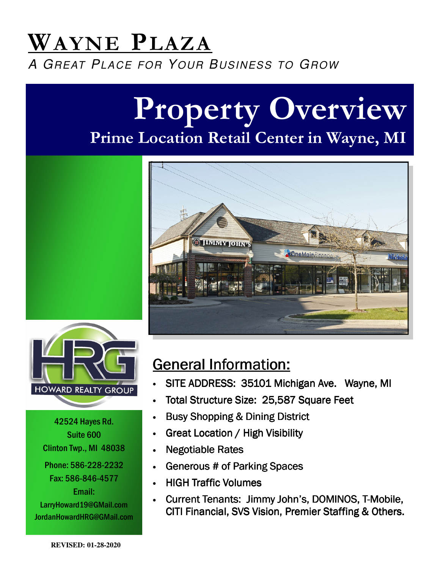## WAYNE PLAZA A GREAT PLACE FOR YOUR BUSINESS TO GROW

# Property Overview Prime Location Retail Center in Wayne, MI





42524 Hayes Rd. Suite 600 Clinton Twp., MI 48038 Phone: 586-228-2232 Fax: 586-846-4577 Email: LarryHoward19@GMail.com JordanHowardHRG@GMail.com

## General Information:

- SITE ADDRESS: 35101 Michigan Ave. Wayne, MI
- Total Structure Size: 25,587 Square Feet
- Busy Shopping & Dining District
- **Great Location / High Visibility**
- Negotiable Rates
- Generous # of Parking Spaces
- **HIGH Traffic Volumes**
- Current Tenants: Jimmy John's, DOMINOS, T-Mobile, CITI Financial, SVS Vision, Premier Staffing & Others.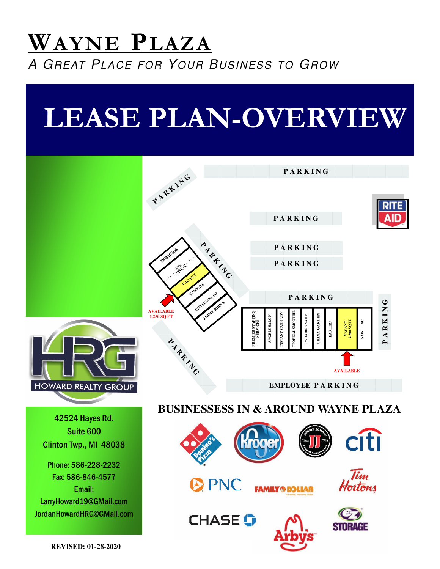## WAYNE PLAZA A GREAT PLACE FOR YOUR BUSINESS TO GROW

# LEASE PLAN-OVERVIEW